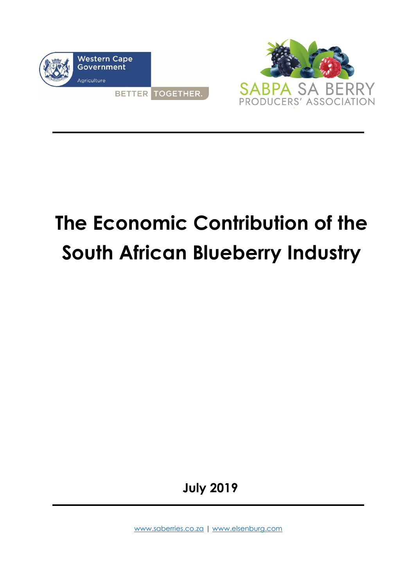



# **The Economic Contribution of the South African Blueberry Industry**

**July 2019**

[www.saberries.co.za](http://www.saberries.co.za/) | [www.elsenburg.com](http://www.elsenburg.com/)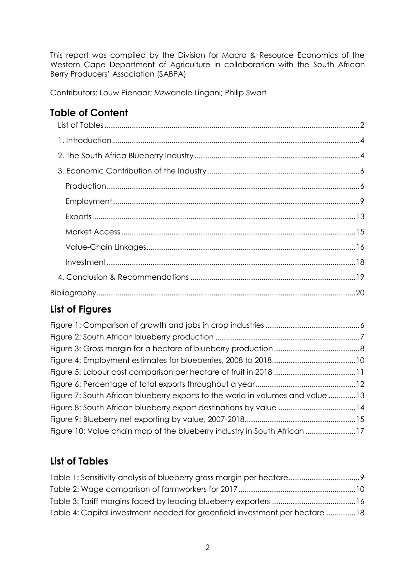This report was compiled by the Division for Macro & Resource Economics of the Western Cape Department of Agriculture in collaboration with the South African Berry Producers' Association (SABPA)

Contributors: Louw Pienaar; Mzwanele Lingani; Philip Swart

# **Table of Content**

# **List of Figures**

| Figure 7: South African blueberry exports to the world in volumes and value 13 |  |
|--------------------------------------------------------------------------------|--|
| Figure 8: South African blueberry export destinations by value 14              |  |
|                                                                                |  |
| Figure 10: Value chain map of the blueberry industry in South African 17       |  |

## <span id="page-1-0"></span>**List of Tables**

| Table 4: Capital investment needed for greenfield investment per hectare 18 |  |
|-----------------------------------------------------------------------------|--|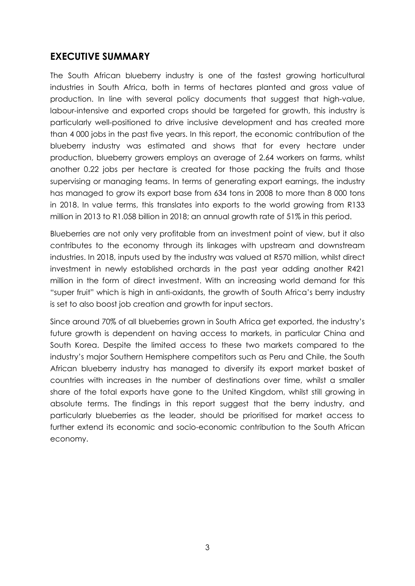### **EXECUTIVE SUMMARY**

The South African blueberry industry is one of the fastest growing horticultural industries in South Africa, both in terms of hectares planted and gross value of production. In line with several policy documents that suggest that high-value, labour-intensive and exported crops should be targeted for growth, this industry is particularly well-positioned to drive inclusive development and has created more than 4 000 jobs in the past five years. In this report, the economic contribution of the blueberry industry was estimated and shows that for every hectare under production, blueberry growers employs an average of 2.64 workers on farms, whilst another 0.22 jobs per hectare is created for those packing the fruits and those supervising or managing teams. In terms of generating export earnings, the industry has managed to grow its export base from 634 tons in 2008 to more than 8 000 tons in 2018. In value terms, this translates into exports to the world growing from R133 million in 2013 to R1.058 billion in 2018; an annual growth rate of 51% in this period.

Blueberries are not only very profitable from an investment point of view, but it also contributes to the economy through its linkages with upstream and downstream industries. In 2018, inputs used by the industry was valued at R570 million, whilst direct investment in newly established orchards in the past year adding another R421 million in the form of direct investment. With an increasing world demand for this "super fruit" which is high in anti-oxidants, the growth of South Africa's berry industry is set to also boost job creation and growth for input sectors.

Since around 70% of all blueberries grown in South Africa get exported, the industry's future growth is dependent on having access to markets, in particular China and South Korea. Despite the limited access to these two markets compared to the industry's major Southern Hemisphere competitors such as Peru and Chile, the South African blueberry industry has managed to diversify its export market basket of countries with increases in the number of destinations over time, whilst a smaller share of the total exports have gone to the United Kingdom, whilst still growing in absolute terms. The findings in this report suggest that the berry industry, and particularly blueberries as the leader, should be prioritised for market access to further extend its economic and socio-economic contribution to the South African economy.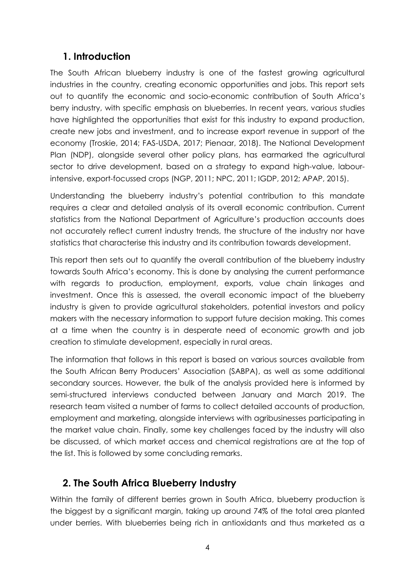## <span id="page-3-0"></span>**1. Introduction**

The South African blueberry industry is one of the fastest growing agricultural industries in the country, creating economic opportunities and jobs. This report sets out to quantify the economic and socio-economic contribution of South Africa's berry industry, with specific emphasis on blueberries. In recent years, various studies have highlighted the opportunities that exist for this industry to expand production, create new jobs and investment, and to increase export revenue in support of the economy (Troskie, 2014; FAS-USDA, 2017; Pienaar, 2018). The National Development Plan (NDP), alongside several other policy plans, has earmarked the agricultural sector to drive development, based on a strategy to expand high-value, labourintensive, export-focussed crops (NGP, 2011; NPC, 2011; IGDP, 2012; APAP, 2015).

Understanding the blueberry industry's potential contribution to this mandate requires a clear and detailed analysis of its overall economic contribution. Current statistics from the National Department of Agriculture's production accounts does not accurately reflect current industry trends, the structure of the industry nor have statistics that characterise this industry and its contribution towards development.

This report then sets out to quantify the overall contribution of the blueberry industry towards South Africa's economy. This is done by analysing the current performance with regards to production, employment, exports, value chain linkages and investment. Once this is assessed, the overall economic impact of the blueberry industry is given to provide agricultural stakeholders, potential investors and policy makers with the necessary information to support future decision making. This comes at a time when the country is in desperate need of economic growth and job creation to stimulate development, especially in rural areas.

The information that follows in this report is based on various sources available from the South African Berry Producers' Association (SABPA), as well as some additional secondary sources. However, the bulk of the analysis provided here is informed by semi-structured interviews conducted between January and March 2019. The research team visited a number of farms to collect detailed accounts of production, employment and marketing, alongside interviews with agribusinesses participating in the market value chain. Finally, some key challenges faced by the industry will also be discussed, of which market access and chemical registrations are at the top of the list. This is followed by some concluding remarks.

## <span id="page-3-1"></span>**2. The South Africa Blueberry Industry**

Within the family of different berries grown in South Africa, blueberry production is the biggest by a significant margin, taking up around 74% of the total area planted under berries. With blueberries being rich in antioxidants and thus marketed as a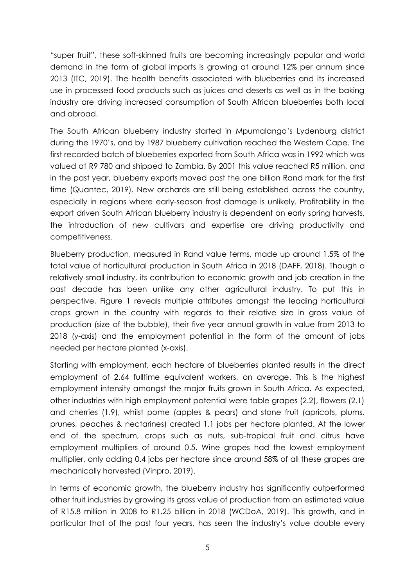"super fruit", these soft-skinned fruits are becoming increasingly popular and world demand in the form of global imports is growing at around 12% per annum since 2013 (ITC, 2019). The health benefits associated with blueberries and its increased use in processed food products such as juices and deserts as well as in the baking industry are driving increased consumption of South African blueberries both local and abroad.

The South African blueberry industry started in Mpumalanga's Lydenburg district during the 1970's, and by 1987 blueberry cultivation reached the Western Cape. The first recorded batch of blueberries exported from South Africa was in 1992 which was valued at R9 780 and shipped to Zambia. By 2001 this value reached R5 million, and in the past year, blueberry exports moved past the one billion Rand mark for the first time (Quantec, 2019). New orchards are still being established across the country, especially in regions where early-season frost damage is unlikely. Profitability in the export driven South African blueberry industry is dependent on early spring harvests, the introduction of new cultivars and expertise are driving productivity and competitiveness.

Blueberry production, measured in Rand value terms, made up around 1.5% of the total value of horticultural production in South Africa in 2018 (DAFF, 2018). Though a relatively small industry, its contribution to economic growth and job creation in the past decade has been unlike any other agricultural industry. To put this in perspective, Figure 1 reveals multiple attributes amongst the leading horticultural crops grown in the country with regards to their relative size in gross value of production (size of the bubble), their five year annual growth in value from 2013 to 2018 (y-axis) and the employment potential in the form of the amount of jobs needed per hectare planted (x-axis).

Starting with employment, each hectare of blueberries planted results in the direct employment of 2.64 fulltime equivalent workers, on average. This is the highest employment intensity amongst the major fruits grown in South Africa. As expected, other industries with high employment potential were table grapes (2.2), flowers (2.1) and cherries (1.9), whilst pome (apples & pears) and stone fruit (apricots, plums, prunes, peaches & nectarines) created 1.1 jobs per hectare planted. At the lower end of the spectrum, crops such as nuts, sub-tropical fruit and citrus have employment multipliers of around 0.5. Wine grapes had the lowest employment multiplier, only adding 0.4 jobs per hectare since around 58% of all these grapes are mechanically harvested (Vinpro, 2019).

In terms of economic growth, the blueberry industry has significantly outperformed other fruit industries by growing its gross value of production from an estimated value of R15.8 million in 2008 to R1.25 billion in 2018 (WCDoA, 2019). This growth, and in particular that of the past four years, has seen the industry's value double every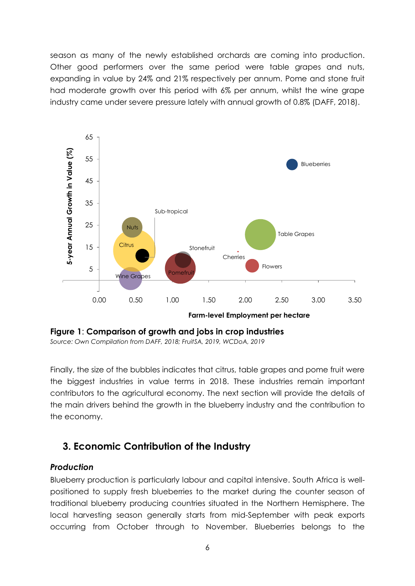season as many of the newly established orchards are coming into production. Other good performers over the same period were table grapes and nuts, expanding in value by 24% and 21% respectively per annum. Pome and stone fruit had moderate growth over this period with 6% per annum, whilst the wine grape industry came under severe pressure lately with annual growth of 0.8% (DAFF, 2018).



<span id="page-5-2"></span>**Figure 1**: **Comparison of growth and jobs in crop industries** *Source: Own Compilation from DAFF, 2018; FruitSA, 2019, WCDoA, 2019*

Finally, the size of the bubbles indicates that citrus, table grapes and pome fruit were the biggest industries in value terms in 2018. These industries remain important contributors to the agricultural economy. The next section will provide the details of the main drivers behind the growth in the blueberry industry and the contribution to the economy.

## <span id="page-5-0"></span>**3. Economic Contribution of the Industry**

#### <span id="page-5-1"></span>*Production*

Blueberry production is particularly labour and capital intensive. South Africa is wellpositioned to supply fresh blueberries to the market during the counter season of traditional blueberry producing countries situated in the Northern Hemisphere. The local harvesting season generally starts from mid-September with peak exports occurring from October through to November. Blueberries belongs to the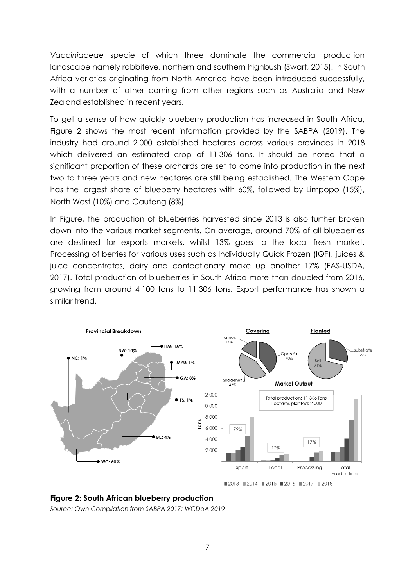*Vacciniaceae* specie of which three dominate the commercial production landscape namely rabbiteye, northern and southern highbush (Swart, 2015). In South Africa varieties originating from North America have been introduced successfully, with a number of other coming from other regions such as Australia and New Zealand established in recent years.

To get a sense of how quickly blueberry production has increased in South Africa, Figure 2 shows the most recent information provided by the SABPA (2019). The industry had around 2 000 established hectares across various provinces in 2018 which delivered an estimated crop of 11 306 tons. It should be noted that a significant proportion of these orchards are set to come into production in the next two to three years and new hectares are still being established. The Western Cape has the largest share of blueberry hectares with 60%, followed by Limpopo (15%), North West (10%) and Gauteng (8%).

In Figure, the production of blueberries harvested since 2013 is also further broken down into the various market segments. On average, around 70% of all blueberries are destined for exports markets, whilst 13% goes to the local fresh market. Processing of berries for various uses such as Individually Quick Frozen (IQF), juices & juice concentrates, dairy and confectionary make up another 17% (FAS-USDA, 2017). Total production of blueberries in South Africa more than doubled from 2016, growing from around 4 100 tons to 11 306 tons. Export performance has shown a similar trend.



<span id="page-6-0"></span>**Figure 2: South African blueberry production**

*Source: Own Compilation from SABPA 2017; WCDoA 2019*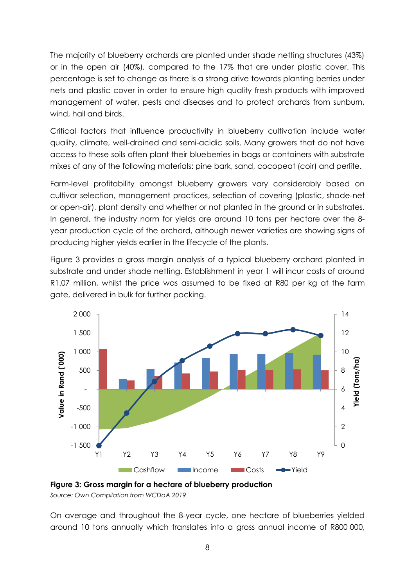The majority of blueberry orchards are planted under shade netting structures (43%) or in the open air (40%), compared to the 17% that are under plastic cover. This percentage is set to change as there is a strong drive towards planting berries under nets and plastic cover in order to ensure high quality fresh products with improved management of water, pests and diseases and to protect orchards from sunburn, wind, hail and birds.

Critical factors that influence productivity in blueberry cultivation include water quality, climate, well-drained and semi-acidic soils. Many growers that do not have access to these soils often plant their blueberries in bags or containers with substrate mixes of any of the following materials: pine bark, sand, cocopeat (coir) and perlite.

Farm-level profitability amongst blueberry growers vary considerably based on cultivar selection, management practices, selection of covering (plastic, shade-net or open-air), plant density and whether or not planted in the ground or in substrates. In general, the industry norm for yields are around 10 tons per hectare over the 8 year production cycle of the orchard, although newer varieties are showing signs of producing higher yields earlier in the lifecycle of the plants.

Figure 3 provides a gross margin analysis of a typical blueberry orchard planted in substrate and under shade netting. Establishment in year 1 will incur costs of around R1.07 million, whilst the price was assumed to be fixed at R80 per kg at the farm gate, delivered in bulk for further packing.



<span id="page-7-0"></span>

*Source: Own Compilation from WCDoA 2019*

On average and throughout the 8-year cycle, one hectare of blueberries yielded around 10 tons annually which translates into a gross annual income of R800 000,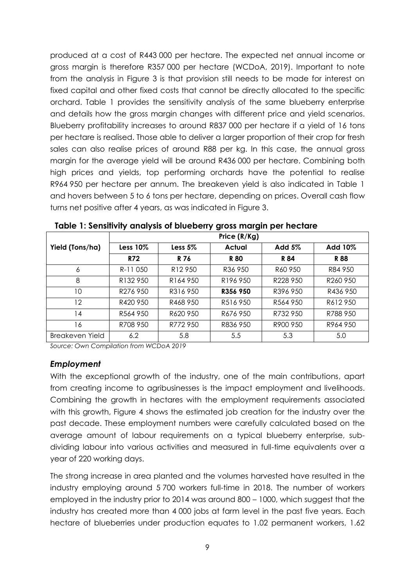produced at a cost of R443 000 per hectare. The expected net annual income or gross margin is therefore R357 000 per hectare (WCDoA, 2019). Important to note from the analysis in Figure 3 is that provision still needs to be made for interest on fixed capital and other fixed costs that cannot be directly allocated to the specific orchard. Table 1 provides the sensitivity analysis of the same blueberry enterprise and details how the gross margin changes with different price and yield scenarios. Blueberry profitability increases to around R837 000 per hectare if a yield of 16 tons per hectare is realised. Those able to deliver a larger proportion of their crop for fresh sales can also realise prices of around R88 per kg. In this case, the annual gross margin for the average yield will be around R436 000 per hectare. Combining both high prices and yields, top performing orchards have the potential to realise R964 950 per hectare per annum. The breakeven yield is also indicated in Table 1 and hovers between 5 to 6 tons per hectare, depending on prices. Overall cash flow turns net positive after 4 years, as was indicated in Figure 3.

|                   | Price (R/Kg)         |                      |                      |          |                      |  |  |  |  |
|-------------------|----------------------|----------------------|----------------------|----------|----------------------|--|--|--|--|
| Yield (Tons/ha)   | Less $10\%$          | Less $5%$            | <b>Actual</b>        | Add 5%   | Add 10%              |  |  |  |  |
|                   | R72                  | R 76                 | <b>R80</b>           | R 84     | R 88                 |  |  |  |  |
| 6                 | R-11050              | R <sub>12</sub> 950  | R36 950              | R60 950  | R84 950              |  |  |  |  |
| 8                 | R <sub>132</sub> 950 | R <sub>164</sub> 950 | R <sub>196</sub> 950 | R228 950 | R <sub>260</sub> 950 |  |  |  |  |
| 10                | R276 950             | R316 950             | R356 950             | R396 950 | R436 950             |  |  |  |  |
| $12 \overline{ }$ | R420 950             | R468 950             | R516 950             | R564 950 | R612950              |  |  |  |  |
| 14                | R564 950             | R620 950             | R676 950             | R732 950 | R788 950             |  |  |  |  |
| 16                | R708 950             | R772 950             | R836 950             | R900 950 | R964 950             |  |  |  |  |
| Breakeven Yield   | 6.2                  | 5.8                  | 5.5                  | 5.3      | 5.0                  |  |  |  |  |

<span id="page-8-1"></span>**Table 1: Sensitivity analysis of blueberry gross margin per hectare**

*Source: Own Compilation from WCDoA 2019*

#### <span id="page-8-0"></span>*Employment*

With the exceptional growth of the industry, one of the main contributions, apart from creating income to agribusinesses is the impact employment and livelihoods. Combining the growth in hectares with the employment requirements associated with this growth, Figure 4 shows the estimated job creation for the industry over the past decade. These employment numbers were carefully calculated based on the average amount of labour requirements on a typical blueberry enterprise, subdividing labour into various activities and measured in full-time equivalents over a year of 220 working days.

The strong increase in area planted and the volumes harvested have resulted in the industry employing around 5 700 workers full-time in 2018. The number of workers employed in the industry prior to 2014 was around 800 – 1000, which suggest that the industry has created more than 4 000 jobs at farm level in the past five years. Each hectare of blueberries under production equates to 1.02 permanent workers, 1.62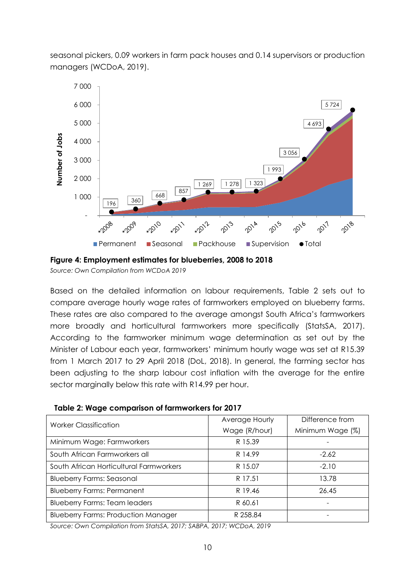seasonal pickers, 0.09 workers in farm pack houses and 0.14 supervisors or production managers (WCDoA, 2019).



<span id="page-9-0"></span>**Figure 4: Employment estimates for blueberries, 2008 to 2018** 

*Source: Own Compilation from WCDoA 2019*

Based on the detailed information on labour requirements, Table 2 sets out to compare average hourly wage rates of farmworkers employed on blueberry farms. These rates are also compared to the average amongst South Africa's farmworkers more broadly and horticultural farmworkers more specifically (StatsSA, 2017). According to the farmworker minimum wage determination as set out by the Minister of Labour each year, farmworkers' minimum hourly wage was set at R15.39 from 1 March 2017 to 29 April 2018 (DoL, 2018). In general, the farming sector has been adjusting to the sharp labour cost inflation with the average for the entire sector marginally below this rate with R14.99 per hour.

<span id="page-9-1"></span>**Table 2: Wage comparison of farmworkers for 2017**

|                                            | Average Hourly | Difference from  |
|--------------------------------------------|----------------|------------------|
| <b>Worker Classification</b>               |                |                  |
|                                            | Wage (R/hour)  | Minimum Wage (%) |
| Minimum Wage: Farmworkers                  | R 15.39        |                  |
| South African Farmworkers all              | R 14.99        | $-2.62$          |
| South African Horticultural Farmworkers    | R 15.07        | $-2.10$          |
| <b>Blueberry Farms: Seasonal</b>           | R 17.51        | 13.78            |
| <b>Blueberry Farms: Permanent</b>          | R 19.46        | 26.45            |
| <b>Blueberry Farms: Team leaders</b>       | R 60.61        |                  |
| <b>Blueberry Farms: Production Manager</b> | R 258.84       |                  |

*Source: Own Compilation from StatsSA, 2017; SABPA, 2017; WCDoA, 2019*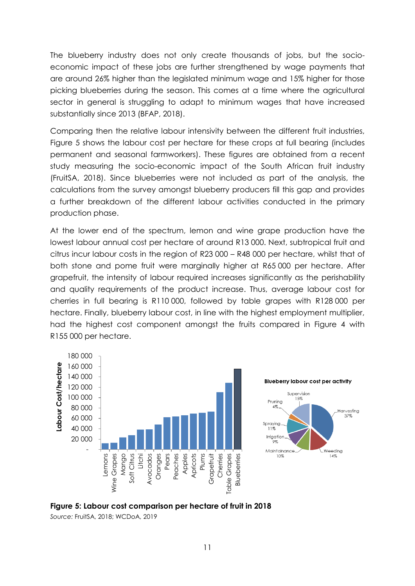The blueberry industry does not only create thousands of jobs, but the socioeconomic impact of these jobs are further strengthened by wage payments that are around 26% higher than the legislated minimum wage and 15% higher for those picking blueberries during the season. This comes at a time where the agricultural sector in general is struggling to adapt to minimum wages that have increased substantially since 2013 (BFAP, 2018).

Comparing then the relative labour intensivity between the different fruit industries, Figure 5 shows the labour cost per hectare for these crops at full bearing (includes permanent and seasonal farmworkers). These figures are obtained from a recent study measuring the socio-economic impact of the South African fruit industry (FruitSA, 2018). Since blueberries were not included as part of the analysis, the calculations from the survey amongst blueberry producers fill this gap and provides a further breakdown of the different labour activities conducted in the primary production phase.

At the lower end of the spectrum, lemon and wine grape production have the lowest labour annual cost per hectare of around R13 000. Next, subtropical fruit and citrus incur labour costs in the region of R23 000 – R48 000 per hectare, whilst that of both stone and pome fruit were marginally higher at R65 000 per hectare. After grapefruit, the intensity of labour required increases significantly as the perishability and quality requirements of the product increase. Thus, average labour cost for cherries in full bearing is R110 000, followed by table grapes with R128 000 per hectare. Finally, blueberry labour cost, in line with the highest employment multiplier, had the highest cost component amongst the fruits compared in Figure 4 with R155 000 per hectare.





<span id="page-10-0"></span>

*Source:* FruitSA, 2018; WCDoA, 2019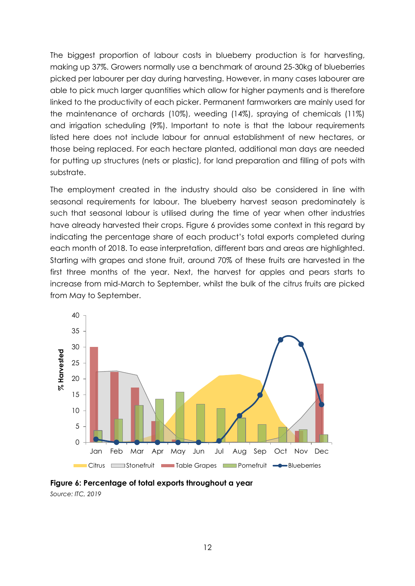The biggest proportion of labour costs in blueberry production is for harvesting, making up 37%. Growers normally use a benchmark of around 25-30kg of blueberries picked per labourer per day during harvesting. However, in many cases labourer are able to pick much larger quantities which allow for higher payments and is therefore linked to the productivity of each picker. Permanent farmworkers are mainly used for the maintenance of orchards (10%), weeding (14%), spraying of chemicals (11%) and irrigation scheduling (9%). Important to note is that the labour requirements listed here does not include labour for annual establishment of new hectares, or those being replaced. For each hectare planted, additional man days are needed for putting up structures (nets or plastic), for land preparation and filling of pots with substrate.

The employment created in the industry should also be considered in line with seasonal requirements for labour. The blueberry harvest season predominately is such that seasonal labour is utilised during the time of year when other industries have already harvested their crops. Figure 6 provides some context in this regard by indicating the percentage share of each product's total exports completed during each month of 2018. To ease interpretation, different bars and areas are highlighted. Starting with grapes and stone fruit, around 70% of these fruits are harvested in the first three months of the year. Next, the harvest for apples and pears starts to increase from mid-March to September, whilst the bulk of the citrus fruits are picked from May to September.



<span id="page-11-0"></span>**Figure 6: Percentage of total exports throughout a year** *Source: ITC, 2019*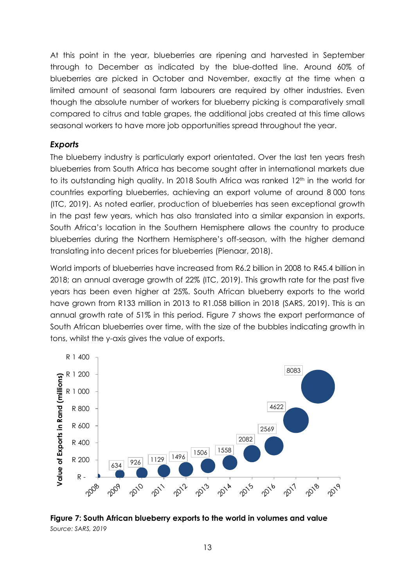At this point in the year, blueberries are ripening and harvested in September through to December as indicated by the blue-dotted line. Around 60% of blueberries are picked in October and November, exactly at the time when a limited amount of seasonal farm labourers are required by other industries. Even though the absolute number of workers for blueberry picking is comparatively small compared to citrus and table grapes, the additional jobs created at this time allows seasonal workers to have more job opportunities spread throughout the year.

#### <span id="page-12-0"></span>*Exports*

The blueberry industry is particularly export orientated. Over the last ten years fresh blueberries from South Africa has become sought after in international markets due to its outstanding high quality. In 2018 South Africa was ranked 12<sup>th</sup> in the world for countries exporting blueberries, achieving an export volume of around 8 000 tons (ITC, 2019). As noted earlier, production of blueberries has seen exceptional growth in the past few years, which has also translated into a similar expansion in exports. South Africa's location in the Southern Hemisphere allows the country to produce blueberries during the Northern Hemisphere's off-season, with the higher demand translating into decent prices for blueberries (Pienaar, 2018).

World imports of blueberries have increased from R6.2 billion in 2008 to R45.4 billion in 2018; an annual average growth of 22% (ITC, 2019). This growth rate for the past five years has been even higher at 25%. South African blueberry exports to the world have grown from R133 million in 2013 to R1.058 billion in 2018 (SARS, 2019). This is an annual growth rate of 51% in this period. Figure 7 shows the export performance of South African blueberries over time, with the size of the bubbles indicating growth in tons, whilst the y-axis gives the value of exports.



<span id="page-12-1"></span>**Figure 7: South African blueberry exports to the world in volumes and value** *Source: SARS, 2019*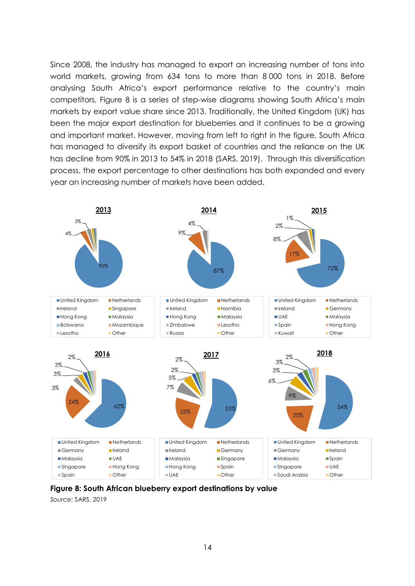Since 2008, the industry has managed to export an increasing number of tons into world markets, growing from 634 tons to more than 8 000 tons in 2018. Before analysing South Africa's export performance relative to the country's main competitors, Figure 8 is a series of step-wise diagrams showing South Africa's main markets by export value share since 2013. Traditionally, the United Kingdom (UK) has been the major export destination for blueberries and it continues to be a growing and important market. However, moving from left to right in the figure, South Africa has managed to diversify its export basket of countries and the reliance on the UK has decline from 90% in 2013 to 54% in 2018 (SARS, 2019). Through this diversification process, the export percentage to other destinations has both expanded and every year an increasing number of markets have been added.



<span id="page-13-0"></span>**Figure 8: South African blueberry export destinations by value**

*Source:* SARS, 2019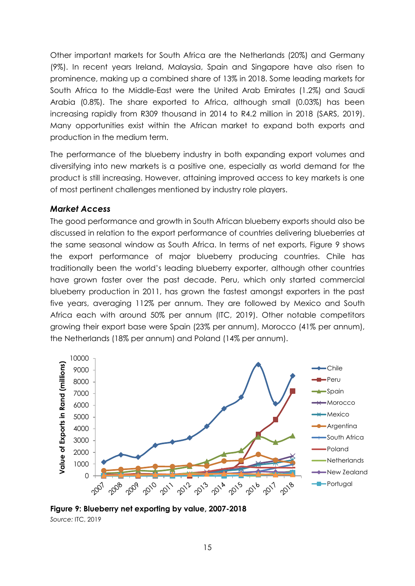Other important markets for South Africa are the Netherlands (20%) and Germany (9%). In recent years Ireland, Malaysia, Spain and Singapore have also risen to prominence, making up a combined share of 13% in 2018. Some leading markets for South Africa to the Middle-East were the United Arab Emirates (1.2%) and Saudi Arabia (0.8%). The share exported to Africa, although small (0.03%) has been increasing rapidly from R309 thousand in 2014 to R4.2 million in 2018 (SARS, 2019). Many opportunities exist within the African market to expand both exports and production in the medium term.

The performance of the blueberry industry in both expanding export volumes and diversifying into new markets is a positive one, especially as world demand for the product is still increasing. However, attaining improved access to key markets is one of most pertinent challenges mentioned by industry role players.

#### <span id="page-14-0"></span>*Market Access*

The good performance and growth in South African blueberry exports should also be discussed in relation to the export performance of countries delivering blueberries at the same seasonal window as South Africa. In terms of net exports, Figure 9 shows the export performance of major blueberry producing countries. Chile has traditionally been the world's leading blueberry exporter, although other countries have grown faster over the past decade. Peru, which only started commercial blueberry production in 2011, has grown the fastest amongst exporters in the past five years, averaging 112% per annum. They are followed by Mexico and South Africa each with around 50% per annum (ITC, 2019). Other notable competitors growing their export base were Spain (23% per annum), Morocco (41% per annum), the Netherlands (18% per annum) and Poland (14% per annum).



<span id="page-14-1"></span>**Figure 9: Blueberry net exporting by value, 2007-2018** *Source:* ITC, 2019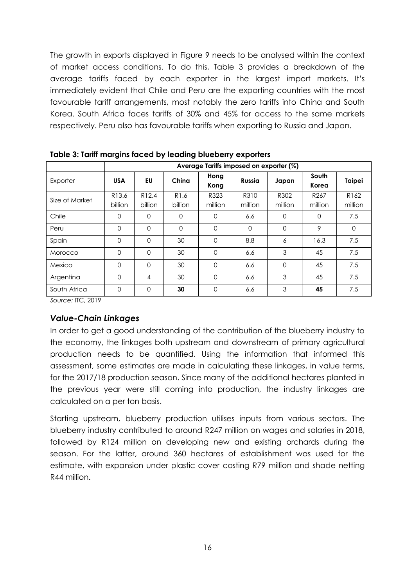The growth in exports displayed in Figure 9 needs to be analysed within the context of market access conditions. To do this, Table 3 provides a breakdown of the average tariffs faced by each exporter in the largest import markets. It's immediately evident that Chile and Peru are the exporting countries with the most favourable tariff arrangements, most notably the zero tariffs into China and South Korea. South Africa faces tariffs of 30% and 45% for access to the same markets respectively. Peru also has favourable tariffs when exporting to Russia and Japan.

|                | Average Tariffs imposed on exporter (%) |                              |                             |                 |                 |                 |                             |                             |
|----------------|-----------------------------------------|------------------------------|-----------------------------|-----------------|-----------------|-----------------|-----------------------------|-----------------------------|
| Exporter       | <b>USA</b>                              | EU                           | China                       | Hong<br>Kong    | Russia          | Japan           | South<br>Korea              | Taipei                      |
| Size of Market | R <sub>13.6</sub><br>billion            | R <sub>12.4</sub><br>billion | R <sub>1.6</sub><br>billion | R323<br>million | R310<br>million | R302<br>million | R <sub>267</sub><br>million | R <sub>162</sub><br>million |
| Chile          | $\Omega$                                | $\Omega$                     | 0                           | $\Omega$        | 6.6             | $\Omega$        | $\Omega$                    | 7.5                         |
| Peru           | $\Omega$                                | $\mathbf 0$                  | $\mathbf 0$                 | $\Omega$        | $\Omega$        | $\Omega$        | 9                           | $\Omega$                    |
| Spain          | $\Omega$                                | $\Omega$                     | 30                          | 0               | 8.8             | 6               | 16.3                        | 7.5                         |
| Morocco        | $\Omega$                                | $\Omega$                     | 30                          | $\Omega$        | 6.6             | 3               | 45                          | 7.5                         |
| Mexico         | $\Omega$                                | $\Omega$                     | 30                          | $\Omega$        | 6.6             | $\Omega$        | 45                          | 7.5                         |
| Argentina      | $\Omega$                                | 4                            | 30                          | $\Omega$        | 6.6             | 3               | 45                          | 7.5                         |
| South Africa   | $\Omega$                                | $\Omega$                     | 30                          | $\Omega$        | 6.6             | 3               | 45                          | 7.5                         |

<span id="page-15-1"></span>**Table 3: Tariff margins faced by leading blueberry exporters** 

*Source:* ITC, 2019

#### <span id="page-15-0"></span>*Value-Chain Linkages*

In order to get a good understanding of the contribution of the blueberry industry to the economy, the linkages both upstream and downstream of primary agricultural production needs to be quantified. Using the information that informed this assessment, some estimates are made in calculating these linkages, in value terms, for the 2017/18 production season. Since many of the additional hectares planted in the previous year were still coming into production, the industry linkages are calculated on a per ton basis.

Starting upstream, blueberry production utilises inputs from various sectors. The blueberry industry contributed to around R247 million on wages and salaries in 2018, followed by R124 million on developing new and existing orchards during the season. For the latter, around 360 hectares of establishment was used for the estimate, with expansion under plastic cover costing R79 million and shade netting R44 million.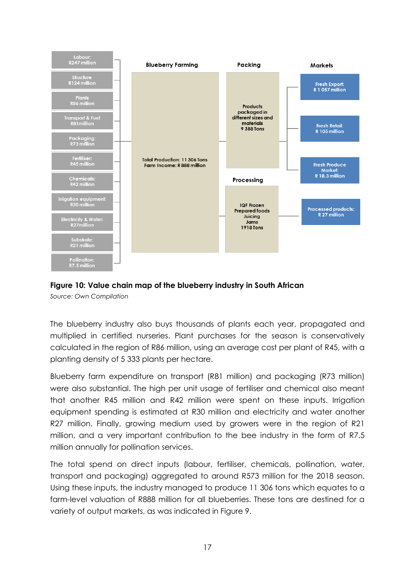

#### <span id="page-16-0"></span>**Figure 10: Value chain map of the blueberry industry in South African** *Source: Own Compilation*

The blueberry industry also buys thousands of plants each year, propagated and multiplied in certified nurseries. Plant purchases for the season is conservatively calculated in the region of R86 million, using an average cost per plant of R45, with a planting density of 5 333 plants per hectare.

Blueberry farm expenditure on transport (R81 million) and packaging (R73 million) were also substantial. The high per unit usage of fertiliser and chemical also meant that another R45 million and R42 million were spent on these inputs. Irrigation equipment spending is estimated at R30 million and electricity and water another R27 million. Finally, growing medium used by growers were in the region of R21 million, and a very important contribution to the bee industry in the form of R7.5 million annually for pollination services.

The total spend on direct inputs (labour, fertiliser, chemicals, pollination, water, transport and packaging) aggregated to around R573 million for the 2018 season. Using these inputs, the industry managed to produce 11 306 tons which equates to a farm-level valuation of R888 million for all blueberries. These tons are destined for a variety of output markets, as was indicated in Figure 9.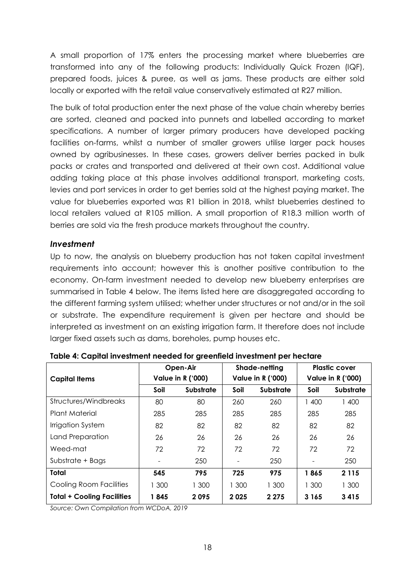A small proportion of 17% enters the processing market where blueberries are transformed into any of the following products: Individually Quick Frozen (IQF), prepared foods, juices & puree, as well as jams. These products are either sold locally or exported with the retail value conservatively estimated at R27 million.

The bulk of total production enter the next phase of the value chain whereby berries are sorted, cleaned and packed into punnets and labelled according to market specifications. A number of larger primary producers have developed packing facilities on-farms, whilst a number of smaller growers utilise larger pack houses owned by agribusinesses. In these cases, growers deliver berries packed in bulk packs or crates and transported and delivered at their own cost. Additional value adding taking place at this phase involves additional transport, marketing costs, levies and port services in order to get berries sold at the highest paying market. The value for blueberries exported was R1 billion in 2018, whilst blueberries destined to local retailers valued at R105 million. A small proportion of R18.3 million worth of berries are sold via the fresh produce markets throughout the country.

#### <span id="page-17-0"></span>*Investment*

Up to now, the analysis on blueberry production has not taken capital investment requirements into account; however this is another positive contribution to the economy. On-farm investment needed to develop new blueberry enterprises are summarised in Table 4 below. The items listed here are disaggregated according to the different farming system utilised; whether under structures or not and/or in the soil or substrate. The expenditure requirement is given per hectare and should be interpreted as investment on an existing irrigation farm. It therefore does not include larger fixed assets such as dams, boreholes, pump houses etc.

|                                   | Open-Air<br><b>Value in R ('000)</b> |                  | Shade-netting<br><b>Value in R ('000)</b> |                  | <b>Plastic cover</b><br><b>Value in R ('000)</b> |                  |
|-----------------------------------|--------------------------------------|------------------|-------------------------------------------|------------------|--------------------------------------------------|------------------|
| <b>Capital Items</b>              |                                      |                  |                                           |                  |                                                  |                  |
|                                   | Soil                                 | <b>Substrate</b> | Soil                                      | <b>Substrate</b> | Soil                                             | <b>Substrate</b> |
| Structures/Windbreaks             | 80                                   | 80               | 260                                       | 260              | 1 400                                            | 1 400            |
| Plant Material                    | 285                                  | 285              | 285                                       | 285              | 285                                              | 285              |
| Irrigation System                 | 82                                   | 82               | 82                                        | 82               | 82                                               | 82               |
| Land Preparation                  | 26                                   | 26               | 26                                        | 26               | 26                                               | 26               |
| Weed-mat                          | 72                                   | 72               | 72                                        | 72               | 72                                               | 72               |
| Substrate + Bags                  |                                      | 250              |                                           | 250              |                                                  | 250              |
| <b>Total</b>                      | 545                                  | 795              | 725                                       | 975              | 1865                                             | 2 1 1 5          |
| Cooling Room Facilities           | 1 300                                | 1 300            | 1 300                                     | 1 300            | 1 300                                            | 1 300            |
| <b>Total + Cooling Facilities</b> | 1845                                 | 2095             | 2025                                      | 2 2 7 5          | 3 1 6 5                                          | 3415             |

<span id="page-17-1"></span>**Table 4: Capital investment needed for greenfield investment per hectare**

*Source: Own Compilation from WCDoA, 2019*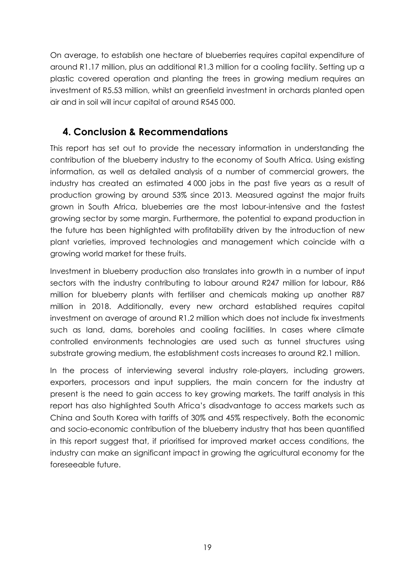On average, to establish one hectare of blueberries requires capital expenditure of around R1.17 million, plus an additional R1.3 million for a cooling facility. Setting up a plastic covered operation and planting the trees in growing medium requires an investment of R5.53 million, whilst an greenfield investment in orchards planted open air and in soil will incur capital of around R545 000.

## <span id="page-18-0"></span>**4. Conclusion & Recommendations**

This report has set out to provide the necessary information in understanding the contribution of the blueberry industry to the economy of South Africa. Using existing information, as well as detailed analysis of a number of commercial growers, the industry has created an estimated 4 000 jobs in the past five years as a result of production growing by around 53% since 2013. Measured against the major fruits grown in South Africa, blueberries are the most labour-intensive and the fastest growing sector by some margin. Furthermore, the potential to expand production in the future has been highlighted with profitability driven by the introduction of new plant varieties, improved technologies and management which coincide with a growing world market for these fruits.

Investment in blueberry production also translates into growth in a number of input sectors with the industry contributing to labour around R247 million for labour, R86 million for blueberry plants with fertiliser and chemicals making up another R87 million in 2018. Additionally, every new orchard established requires capital investment on average of around R1.2 million which does not include fix investments such as land, dams, boreholes and cooling facilities. In cases where climate controlled environments technologies are used such as tunnel structures using substrate growing medium, the establishment costs increases to around R2.1 million.

In the process of interviewing several industry role-players, including growers, exporters, processors and input suppliers, the main concern for the industry at present is the need to gain access to key growing markets. The tariff analysis in this report has also highlighted South Africa's disadvantage to access markets such as China and South Korea with tariffs of 30% and 45% respectively. Both the economic and socio-economic contribution of the blueberry industry that has been quantified in this report suggest that, if prioritised for improved market access conditions, the industry can make an significant impact in growing the agricultural economy for the foreseeable future.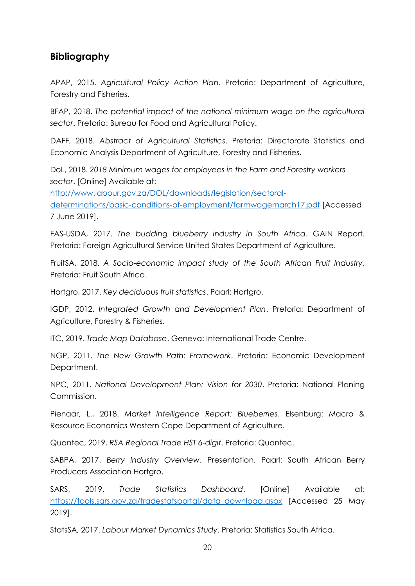## <span id="page-19-0"></span>**Bibliography**

APAP, 2015. *Agricultural Policy Action Plan*. Pretoria: Department of Agriculture, Forestry and Fisheries.

BFAP, 2018. *The potential impact of the national minimum wage on the agricultural sector*. Pretoria: Bureau for Food and Agricultural Policy.

DAFF, 2018. *Abstract of Agricultural Statistics*. Pretoria: Directorate Statistics and Economic Analysis Department of Agriculture, Forestry and Fisheries.

DoL, 2018. *2018 Minimum wages for employees in the Farm and Forestry workers sector*. [Online] Available at:

[http://www.labour.gov.za/DOL/downloads/legislation/sectoral](http://www.labour.gov.za/DOL/downloads/legislation/sectoral-determinations/basic-conditions-of-employment/farmwagemarch17.pdf)[determinations/basic-conditions-of-employment/farmwagemarch17.pdf](http://www.labour.gov.za/DOL/downloads/legislation/sectoral-determinations/basic-conditions-of-employment/farmwagemarch17.pdf) [Accessed 7 June 2019].

FAS-USDA, 2017. *The budding blueberry industry in South Africa*. GAIN Report. Pretoria: Foreign Agricultural Service United States Department of Agriculture.

FruitSA, 2018. *A Socio-economic impact study of the South African Fruit Industry*. Pretoria: Fruit South Africa.

Hortgro, 2017. *Key deciduous fruit statistics*. Paarl: Hortgro.

IGDP, 2012. *Integrated Growth and Development Plan*. Pretoria: Department of Agriculture, Forestry & Fisheries.

ITC, 2019. *Trade Map Database*. Geneva: International Trade Centre.

NGP, 2011. *The New Growth Path: Framework*. Pretoria: Economic Development Department.

NPC, 2011. *National Development Plan: Vision for 2030*. Pretoria: National Planing Commission.

Pienaar, L., 2018. *Market Intelligence Report: Blueberries*. Elsenburg: Macro & Resource Economics Western Cape Department of Agriculture.

Quantec, 2019. *RSA Regional Trade HST 6-digit*. Pretoria: Quantec.

SABPA, 2017. *Berry Industry Overview*. Presentation. Paarl: South African Berry Producers Association Hortgro.

SARS, 2019. *Trade Statistics Dashboard*. [Online] Available at: [https://tools.sars.gov.za/tradestatsportal/data\\_download.aspx](https://tools.sars.gov.za/tradestatsportal/data_download.aspx) [Accessed 25 May 2019].

StatsSA, 2017. *Labour Market Dynamics Study*. Pretoria: Statistics South Africa.